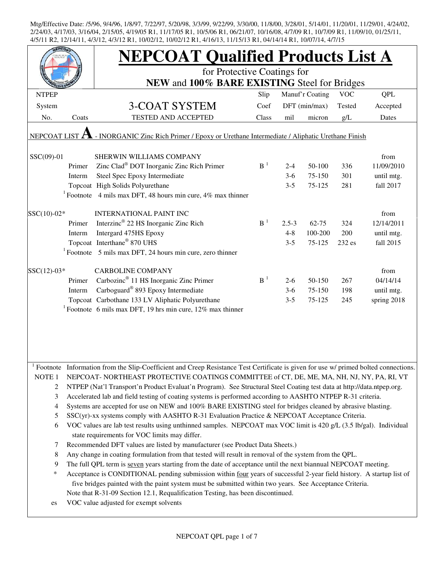|                                                                                                           |                                                                                               | <b>NEPCOAT Qualified Products List A</b>                                                                                            |                |           |                 |            |             |  |  |
|-----------------------------------------------------------------------------------------------------------|-----------------------------------------------------------------------------------------------|-------------------------------------------------------------------------------------------------------------------------------------|----------------|-----------|-----------------|------------|-------------|--|--|
|                                                                                                           |                                                                                               | for Protective Coatings for                                                                                                         |                |           |                 |            |             |  |  |
|                                                                                                           |                                                                                               | NEW and 100% BARE EXISTING Steel for Bridges                                                                                        |                |           |                 |            |             |  |  |
| <b>NTPEP</b>                                                                                              |                                                                                               |                                                                                                                                     | Slip           |           | Manuf'r Coating | <b>VOC</b> | QPL         |  |  |
| System                                                                                                    |                                                                                               | <b>3-COAT SYSTEM</b>                                                                                                                | Coef           |           | DFT (min/max)   | Tested     | Accepted    |  |  |
| No.                                                                                                       | Coats                                                                                         | <b>TESTED AND ACCEPTED</b>                                                                                                          | Class          | mil       | micron          | g/L        | Dates       |  |  |
|                                                                                                           |                                                                                               |                                                                                                                                     |                |           |                 |            |             |  |  |
| - INORGANIC Zinc Rich Primer / Epoxy or Urethane Intermediate / Aliphatic Urethane Finish<br>NEPCOAT LIST |                                                                                               |                                                                                                                                     |                |           |                 |            |             |  |  |
| SSC(09)-01                                                                                                |                                                                                               | SHERWIN WILLIAMS COMPANY                                                                                                            |                |           |                 |            | from        |  |  |
|                                                                                                           | Primer                                                                                        | Zinc Clad <sup>®</sup> DOT Inorganic Zinc Rich Primer                                                                               | B <sup>1</sup> | $2 - 4$   | 50-100          | 336        | 11/09/2010  |  |  |
|                                                                                                           | Interm                                                                                        | Steel Spec Epoxy Intermediate                                                                                                       |                | $3-6$     | 75-150          | 301        | until mtg.  |  |  |
|                                                                                                           |                                                                                               | Topcoat High Solids Polyurethane                                                                                                    |                | $3 - 5$   | 75-125          | 281        | fall 2017   |  |  |
|                                                                                                           |                                                                                               | <sup>1</sup> Footnote 4 mils max DFT, 48 hours min cure, 4% max thinner                                                             |                |           |                 |            |             |  |  |
| $SSC(10)-02*$                                                                                             |                                                                                               | <b>INTERNATIONAL PAINT INC</b>                                                                                                      |                |           |                 |            | from        |  |  |
|                                                                                                           | Primer                                                                                        | Interzinc <sup>®</sup> 22 HS Inorganic Zinc Rich                                                                                    | B <sup>1</sup> | $2.5 - 3$ | $62 - 75$       | 324        | 12/14/2011  |  |  |
|                                                                                                           | Interm                                                                                        | Intergard 475HS Epoxy                                                                                                               |                | $4 - 8$   | 100-200         | 200        | until mtg.  |  |  |
|                                                                                                           |                                                                                               | Topcoat Interthane® 870 UHS                                                                                                         |                | $3 - 5$   | 75-125          | 232 es     | fall 2015   |  |  |
|                                                                                                           |                                                                                               | $1$ Footnote 5 mils max DFT, 24 hours min cure, zero thinner                                                                        |                |           |                 |            |             |  |  |
|                                                                                                           |                                                                                               |                                                                                                                                     |                |           |                 |            |             |  |  |
| $SSC(12)-03*$                                                                                             |                                                                                               | <b>CARBOLINE COMPANY</b>                                                                                                            |                |           |                 |            | from        |  |  |
|                                                                                                           | Primer                                                                                        | Carbozinc <sup>®</sup> 11 HS Inorganic Zinc Primer                                                                                  | B <sup>1</sup> | $2 - 6$   | 50-150          | 267        | 04/14/14    |  |  |
|                                                                                                           | Interm                                                                                        | Carboguard <sup>®</sup> 893 Epoxy Intermediate                                                                                      |                | $3-6$     | 75-150          | 198        | until mtg.  |  |  |
|                                                                                                           |                                                                                               | Topcoat Carbothane 133 LV Aliphatic Polyurethane                                                                                    |                | $3 - 5$   | 75-125          | 245        | spring 2018 |  |  |
|                                                                                                           |                                                                                               | <sup>1</sup> Footnote 6 mils max DFT, 19 hrs min cure, 12% max thinner                                                              |                |           |                 |            |             |  |  |
|                                                                                                           |                                                                                               |                                                                                                                                     |                |           |                 |            |             |  |  |
|                                                                                                           |                                                                                               |                                                                                                                                     |                |           |                 |            |             |  |  |
|                                                                                                           |                                                                                               |                                                                                                                                     |                |           |                 |            |             |  |  |
|                                                                                                           |                                                                                               |                                                                                                                                     |                |           |                 |            |             |  |  |
|                                                                                                           |                                                                                               | Footnote Information from the Slip-Coefficient and Creep Resistance Test Certificate is given for use w/ primed bolted connections. |                |           |                 |            |             |  |  |
| NOTE <sub>1</sub>                                                                                         |                                                                                               | NEPCOAT-NORTHEAST PROTECTIVE COATINGS COMMITTEE of CT, DE, ME, MA, NH, NJ, NY, PA, RI, VT                                           |                |           |                 |            |             |  |  |
| 2                                                                                                         |                                                                                               | NTPEP (Nat'l Transport'n Product Evaluat'n Program). See Structural Steel Coating test data at http://data.ntpep.org.               |                |           |                 |            |             |  |  |
| 3                                                                                                         |                                                                                               | Accelerated lab and field testing of coating systems is performed according to AASHTO NTPEP R-31 criteria.                          |                |           |                 |            |             |  |  |
| 4                                                                                                         |                                                                                               | Systems are accepted for use on NEW and 100% BARE EXISTING steel for bridges cleaned by abrasive blasting.                          |                |           |                 |            |             |  |  |
| 5                                                                                                         | SSC(yr)-xx systems comply with AASHTO R-31 Evaluation Practice & NEPCOAT Acceptance Criteria. |                                                                                                                                     |                |           |                 |            |             |  |  |
| 6                                                                                                         |                                                                                               | VOC values are lab test results using unthinned samples. NEPCOAT max VOC limit is 420 g/L (3.5 lb/gal). Individual                  |                |           |                 |            |             |  |  |
|                                                                                                           |                                                                                               | state requirements for VOC limits may differ.                                                                                       |                |           |                 |            |             |  |  |
| 7                                                                                                         |                                                                                               | Recommended DFT values are listed by manufacturer (see Product Data Sheets.)                                                        |                |           |                 |            |             |  |  |
| 8                                                                                                         |                                                                                               | Any change in coating formulation from that tested will result in removal of the system from the QPL.                               |                |           |                 |            |             |  |  |
| 9                                                                                                         |                                                                                               | The full QPL term is seven years starting from the date of acceptance until the next biannual NEPCOAT meeting.                      |                |           |                 |            |             |  |  |
| $\ast$                                                                                                    |                                                                                               | Acceptance is CONDITIONAL pending submission within four years of successful 2-year field history. A startup list of                |                |           |                 |            |             |  |  |
|                                                                                                           |                                                                                               | five bridges painted with the paint system must be submitted within two years. See Acceptance Criteria.                             |                |           |                 |            |             |  |  |
|                                                                                                           |                                                                                               | Note that R-31-09 Section 12.1, Requalification Testing, has been discontinued.                                                     |                |           |                 |            |             |  |  |
| es                                                                                                        |                                                                                               | VOC value adjusted for exempt solvents                                                                                              |                |           |                 |            |             |  |  |
|                                                                                                           |                                                                                               |                                                                                                                                     |                |           |                 |            |             |  |  |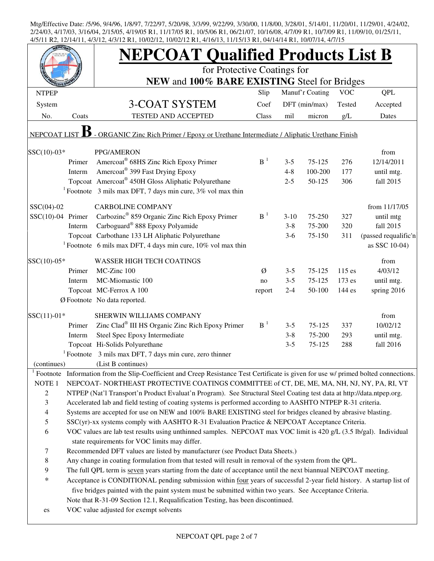|                                                                                                         |                                                                                                                                                                                   | <b>NEPCOAT Qualified Products List B</b>                                                                                   |                       |         |                 |            |                      |  |  |  |
|---------------------------------------------------------------------------------------------------------|-----------------------------------------------------------------------------------------------------------------------------------------------------------------------------------|----------------------------------------------------------------------------------------------------------------------------|-----------------------|---------|-----------------|------------|----------------------|--|--|--|
|                                                                                                         |                                                                                                                                                                                   | for Protective Coatings for                                                                                                |                       |         |                 |            |                      |  |  |  |
|                                                                                                         |                                                                                                                                                                                   | NEW and 100% BARE EXISTING Steel for Bridges                                                                               |                       |         |                 |            |                      |  |  |  |
| <b>NTPEP</b>                                                                                            |                                                                                                                                                                                   |                                                                                                                            | Slip                  |         | Manuf'r Coating | <b>VOC</b> | <b>QPL</b>           |  |  |  |
| System                                                                                                  |                                                                                                                                                                                   | 3-COAT SYSTEM                                                                                                              | Coef                  |         | $DFT$ (min/max) | Tested     | Accepted             |  |  |  |
| No.                                                                                                     | Coats                                                                                                                                                                             | TESTED AND ACCEPTED                                                                                                        | Class                 | mil     | micron          | g/L        | Dates                |  |  |  |
| - ORGANIC Zinc Rich Primer / Epoxy or Urethane Intermediate / Aliphatic Urethane Finish<br>NEPCOAT LIST |                                                                                                                                                                                   |                                                                                                                            |                       |         |                 |            |                      |  |  |  |
| SSC(10)-03*                                                                                             |                                                                                                                                                                                   | PPG/AMERON                                                                                                                 |                       |         |                 |            | from                 |  |  |  |
|                                                                                                         | Primer                                                                                                                                                                            | Amercoat® 68HS Zinc Rich Epoxy Primer                                                                                      | $\, {\bf B}^{\,1} \,$ | $3 - 5$ | 75-125          | 276        | 12/14/2011           |  |  |  |
|                                                                                                         | Interm                                                                                                                                                                            | Amercoat® 399 Fast Drying Epoxy                                                                                            |                       | $4 - 8$ | 100-200         | 177        | until mtg.           |  |  |  |
|                                                                                                         |                                                                                                                                                                                   | Topcoat Amercoat <sup>®</sup> 450H Gloss Aliphatic Polyurethane                                                            |                       | $2 - 5$ | 50-125          | 306        | fall 2015            |  |  |  |
|                                                                                                         |                                                                                                                                                                                   | <sup>1</sup> Footnote 3 mils max DFT, 7 days min cure, $3\%$ vol max thin                                                  |                       |         |                 |            |                      |  |  |  |
| $SSC(04)-02$                                                                                            |                                                                                                                                                                                   | <b>CARBOLINE COMPANY</b>                                                                                                   |                       |         |                 |            | from 11/17/05        |  |  |  |
| $SSC(10)-04$ Primer                                                                                     |                                                                                                                                                                                   | Carbozinc <sup>®</sup> 859 Organic Zinc Rich Epoxy Primer                                                                  | $B-1$                 | $3-10$  | 75-250          | 327        | until mtg            |  |  |  |
|                                                                                                         | Interm                                                                                                                                                                            | Carboguard® 888 Epoxy Polyamide                                                                                            |                       | $3 - 8$ | 75-200          | 320        | fall 2015            |  |  |  |
|                                                                                                         |                                                                                                                                                                                   | Topcoat Carbothane 133 LH Aliphatic Polyurethane                                                                           |                       | $3-6$   | 75-150          | 311        | (passed requalific'n |  |  |  |
|                                                                                                         |                                                                                                                                                                                   | <sup>1</sup> Footnote 6 mils max DFT, 4 days min cure, $10\%$ vol max thin                                                 |                       |         |                 |            | as SSC 10-04)        |  |  |  |
| SSC(10)-05*                                                                                             |                                                                                                                                                                                   | <b>WASSER HIGH TECH COATINGS</b>                                                                                           |                       |         |                 |            | from                 |  |  |  |
|                                                                                                         | Primer                                                                                                                                                                            | MC-Zinc 100                                                                                                                | Ø                     | $3 - 5$ | 75-125          | $115$ es   | 4/03/12              |  |  |  |
|                                                                                                         | Interm                                                                                                                                                                            | MC-Miomastic 100                                                                                                           | no                    | $3 - 5$ | 75-125          | 173 es     | until mtg.           |  |  |  |
|                                                                                                         |                                                                                                                                                                                   | Topcoat MC-Ferrox A 100                                                                                                    | report                | $2 - 4$ | 50-100          | 144 es     | spring 2016          |  |  |  |
|                                                                                                         |                                                                                                                                                                                   | Ø Footnote No data reported.                                                                                               |                       |         |                 |            |                      |  |  |  |
| $SSC(11)-01*$                                                                                           |                                                                                                                                                                                   | SHERWIN WILLIAMS COMPANY                                                                                                   |                       |         |                 |            | from                 |  |  |  |
|                                                                                                         | Primer                                                                                                                                                                            | Zinc Clad <sup>®</sup> III HS Organic Zinc Rich Epoxy Primer                                                               | B <sup>1</sup>        | $3 - 5$ | 75-125          | 337        | 10/02/12             |  |  |  |
|                                                                                                         | Interm                                                                                                                                                                            | Steel Spec Epoxy Intermediate                                                                                              |                       | $3 - 8$ | 75-200          | 293        | until mtg.           |  |  |  |
|                                                                                                         |                                                                                                                                                                                   | Topcoat Hi-Solids Polyurethane                                                                                             |                       | $3 - 5$ | 75-125          | 288        | fall 2016            |  |  |  |
|                                                                                                         |                                                                                                                                                                                   | $1$ Footnote 3 mils max DFT, 7 days min cure, zero thinner                                                                 |                       |         |                 |            |                      |  |  |  |
| (continues)                                                                                             |                                                                                                                                                                                   | (List B continues)                                                                                                         |                       |         |                 |            |                      |  |  |  |
| Footnote                                                                                                |                                                                                                                                                                                   | Information from the Slip-Coefficient and Creep Resistance Test Certificate is given for use w/ primed bolted connections. |                       |         |                 |            |                      |  |  |  |
| NOTE <sub>1</sub>                                                                                       |                                                                                                                                                                                   | NEPCOAT-NORTHEAST PROTECTIVE COATINGS COMMITTEE of CT, DE, ME, MA, NH, NJ, NY, PA, RI, VT                                  |                       |         |                 |            |                      |  |  |  |
| $\overline{c}$                                                                                          |                                                                                                                                                                                   | NTPEP (Nat'l Transport'n Product Evaluat'n Program). See Structural Steel Coating test data at http://data.ntpep.org.      |                       |         |                 |            |                      |  |  |  |
| 3                                                                                                       |                                                                                                                                                                                   | Accelerated lab and field testing of coating systems is performed according to AASHTO NTPEP R-31 criteria.                 |                       |         |                 |            |                      |  |  |  |
| $\overline{4}$                                                                                          |                                                                                                                                                                                   | Systems are accepted for use on NEW and 100% BARE EXISTING steel for bridges cleaned by abrasive blasting.                 |                       |         |                 |            |                      |  |  |  |
| 5                                                                                                       | SSC(yr)-xx systems comply with AASHTO R-31 Evaluation Practice & NEPCOAT Acceptance Criteria.                                                                                     |                                                                                                                            |                       |         |                 |            |                      |  |  |  |
|                                                                                                         | $\sqrt{6}$<br>VOC values are lab test results using unthinned samples. NEPCOAT max VOC limit is 420 g/L (3.5 lb/gal). Individual<br>state requirements for VOC limits may differ. |                                                                                                                            |                       |         |                 |            |                      |  |  |  |
| 7                                                                                                       |                                                                                                                                                                                   | Recommended DFT values are listed by manufacturer (see Product Data Sheets.)                                               |                       |         |                 |            |                      |  |  |  |
| $\,8\,$                                                                                                 |                                                                                                                                                                                   | Any change in coating formulation from that tested will result in removal of the system from the QPL.                      |                       |         |                 |            |                      |  |  |  |
| $\overline{9}$                                                                                          |                                                                                                                                                                                   | The full QPL term is seven years starting from the date of acceptance until the next biannual NEPCOAT meeting.             |                       |         |                 |            |                      |  |  |  |
| $\ast$                                                                                                  |                                                                                                                                                                                   | Acceptance is CONDITIONAL pending submission within four years of successful 2-year field history. A startup list of       |                       |         |                 |            |                      |  |  |  |
|                                                                                                         |                                                                                                                                                                                   | five bridges painted with the paint system must be submitted within two years. See Acceptance Criteria.                    |                       |         |                 |            |                      |  |  |  |
|                                                                                                         |                                                                                                                                                                                   | Note that R-31-09 Section 12.1, Requalification Testing, has been discontinued.                                            |                       |         |                 |            |                      |  |  |  |
| es                                                                                                      |                                                                                                                                                                                   | VOC value adjusted for exempt solvents                                                                                     |                       |         |                 |            |                      |  |  |  |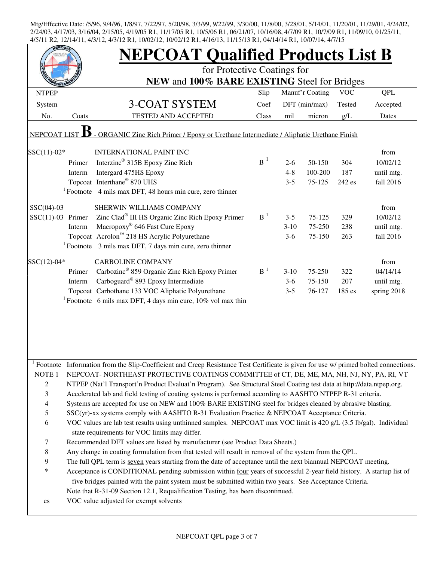|                                                                                                         |                  | <b>NEPCOAT Qualified Products List B</b>                                                                                   |                |                 |                  |            |                        |  |  |
|---------------------------------------------------------------------------------------------------------|------------------|----------------------------------------------------------------------------------------------------------------------------|----------------|-----------------|------------------|------------|------------------------|--|--|
|                                                                                                         |                  | for Protective Coatings for                                                                                                |                |                 |                  |            |                        |  |  |
|                                                                                                         |                  | NEW and 100% BARE EXISTING Steel for Bridges                                                                               |                |                 |                  |            |                        |  |  |
| <b>NTPEP</b>                                                                                            |                  |                                                                                                                            | Slip           |                 | Manuf'r Coating  | <b>VOC</b> | QPL                    |  |  |
| System                                                                                                  |                  | 3-COAT SYSTEM                                                                                                              | Coef           |                 | DFT (min/max)    | Tested     | Accepted               |  |  |
| No.                                                                                                     | Coats            | <b>TESTED AND ACCEPTED</b>                                                                                                 | Class          | mil             | micron           | g/L        | Dates                  |  |  |
| - ORGANIC Zinc Rich Primer / Epoxy or Urethane Intermediate / Aliphatic Urethane Finish<br>NEPCOAT LIST |                  |                                                                                                                            |                |                 |                  |            |                        |  |  |
| $SSC(11)-02*$                                                                                           |                  | <b>INTERNATIONAL PAINT INC</b>                                                                                             |                |                 |                  |            | from                   |  |  |
|                                                                                                         | Primer           | Interzinc <sup>®</sup> 315B Epoxy Zinc Rich                                                                                | $B^1$          | $2-6$           | 50-150           | 304        | 10/02/12               |  |  |
|                                                                                                         | Interm           | Intergard 475HS Epoxy                                                                                                      |                | $4 - 8$         | 100-200          | 187        | until mtg.             |  |  |
|                                                                                                         |                  | Topcoat Interthane® 870 UHS                                                                                                |                | $3 - 5$         | 75-125           | 242 es     | fall 2016              |  |  |
|                                                                                                         |                  | $1$ Footnote 4 mils max DFT, 48 hours min cure, zero thinner                                                               |                |                 |                  |            |                        |  |  |
| $SSC(04)-03$                                                                                            |                  | SHERWIN WILLIAMS COMPANY                                                                                                   |                |                 |                  |            | from                   |  |  |
| $SSC(11)-03$ Primer                                                                                     |                  | Zinc Clad <sup>®</sup> III HS Organic Zinc Rich Epoxy Primer                                                               | B <sup>1</sup> | $3 - 5$         | $75 - 125$       | 329        | 10/02/12               |  |  |
|                                                                                                         | Interm           | Macropoxy® 646 Fast Cure Epoxy                                                                                             |                | $3-10$          | 75-250           | 238        | until mtg.             |  |  |
|                                                                                                         |                  | Topcoat Acrolon <sup>™</sup> 218 HS Acrylic Polyurethane                                                                   |                | $3-6$           | 75-150           | 263        | fall 2016              |  |  |
|                                                                                                         |                  | $1$ Footnote 3 mils max DFT, 7 days min cure, zero thinner                                                                 |                |                 |                  |            |                        |  |  |
|                                                                                                         |                  |                                                                                                                            |                |                 |                  |            |                        |  |  |
| SSC(12)-04*                                                                                             |                  | <b>CARBOLINE COMPANY</b><br>Carbozinc <sup>®</sup> 859 Organic Zinc Rich Epoxy Primer                                      | $B-1$          |                 |                  |            | from                   |  |  |
|                                                                                                         | Primer<br>Interm | Carboguard <sup>®</sup> 893 Epoxy Intermediate                                                                             |                | $3-10$<br>$3-6$ | 75-250<br>75-150 | 322<br>207 | 04/14/14<br>until mtg. |  |  |
|                                                                                                         |                  | Topcoat Carbothane 133 VOC Aliphatic Polyurethane                                                                          |                | $3 - 5$         | 76-127           | 185 es     | spring 2018            |  |  |
|                                                                                                         |                  | <sup>1</sup> Footnote 6 mils max DFT, 4 days min cure, $10\%$ vol max thin                                                 |                |                 |                  |            |                        |  |  |
|                                                                                                         |                  |                                                                                                                            |                |                 |                  |            |                        |  |  |
|                                                                                                         |                  |                                                                                                                            |                |                 |                  |            |                        |  |  |
|                                                                                                         |                  |                                                                                                                            |                |                 |                  |            |                        |  |  |
|                                                                                                         |                  |                                                                                                                            |                |                 |                  |            |                        |  |  |
|                                                                                                         |                  |                                                                                                                            |                |                 |                  |            |                        |  |  |
| Footnote                                                                                                |                  | Information from the Slip-Coefficient and Creep Resistance Test Certificate is given for use w/ primed bolted connections. |                |                 |                  |            |                        |  |  |
| NOTE <sub>1</sub>                                                                                       |                  | NEPCOAT-NORTHEAST PROTECTIVE COATINGS COMMITTEE of CT, DE, ME, MA, NH, NJ, NY, PA, RI, VT                                  |                |                 |                  |            |                        |  |  |
| $\overline{2}$                                                                                          |                  | NTPEP (Nat'l Transport'n Product Evaluat'n Program). See Structural Steel Coating test data at http://data.ntpep.org.      |                |                 |                  |            |                        |  |  |
| 3                                                                                                       |                  | Accelerated lab and field testing of coating systems is performed according to AASHTO NTPEP R-31 criteria.                 |                |                 |                  |            |                        |  |  |
| $\overline{4}$                                                                                          |                  | Systems are accepted for use on NEW and 100% BARE EXISTING steel for bridges cleaned by abrasive blasting.                 |                |                 |                  |            |                        |  |  |
| 5                                                                                                       |                  | SSC(yr)-xx systems comply with AASHTO R-31 Evaluation Practice & NEPCOAT Acceptance Criteria.                              |                |                 |                  |            |                        |  |  |
| $\sqrt{6}$                                                                                              |                  | VOC values are lab test results using unthinned samples. NEPCOAT max VOC limit is 420 g/L (3.5 lb/gal). Individual         |                |                 |                  |            |                        |  |  |
|                                                                                                         |                  | state requirements for VOC limits may differ.                                                                              |                |                 |                  |            |                        |  |  |
| $\boldsymbol{7}$                                                                                        |                  | Recommended DFT values are listed by manufacturer (see Product Data Sheets.)                                               |                |                 |                  |            |                        |  |  |
| $\,8\,$                                                                                                 |                  | Any change in coating formulation from that tested will result in removal of the system from the QPL.                      |                |                 |                  |            |                        |  |  |
| $\boldsymbol{9}$                                                                                        |                  | The full QPL term is seven years starting from the date of acceptance until the next biannual NEPCOAT meeting.             |                |                 |                  |            |                        |  |  |
| $\ast$                                                                                                  |                  | Acceptance is CONDITIONAL pending submission within four years of successful 2-year field history. A startup list of       |                |                 |                  |            |                        |  |  |
|                                                                                                         |                  | five bridges painted with the paint system must be submitted within two years. See Acceptance Criteria.                    |                |                 |                  |            |                        |  |  |
|                                                                                                         |                  | Note that R-31-09 Section 12.1, Requalification Testing, has been discontinued.                                            |                |                 |                  |            |                        |  |  |
| es                                                                                                      |                  | VOC value adjusted for exempt solvents                                                                                     |                |                 |                  |            |                        |  |  |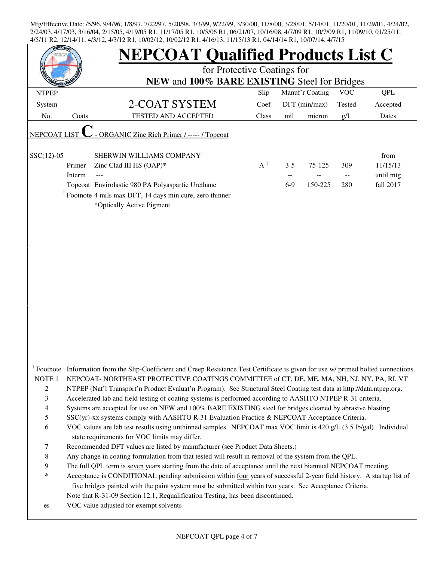| EPC <sub>O</sub>    |        | <b>NEPCOAT Qualified Products List C</b><br>for Protective Coatings for<br>NEW and 100% BARE EXISTING Steel for Bridges                                                                                                                                                                                                                           |       |         |                 |                          |                  |  |  |  |
|---------------------|--------|---------------------------------------------------------------------------------------------------------------------------------------------------------------------------------------------------------------------------------------------------------------------------------------------------------------------------------------------------|-------|---------|-----------------|--------------------------|------------------|--|--|--|
|                     |        |                                                                                                                                                                                                                                                                                                                                                   |       |         |                 |                          |                  |  |  |  |
| <b>NTPEP</b>        |        |                                                                                                                                                                                                                                                                                                                                                   | Slip  |         | Manuf'r Coating | <b>VOC</b>               | QPL              |  |  |  |
| System              |        | 2-COAT SYSTEM                                                                                                                                                                                                                                                                                                                                     | Coef  |         | DFT (min/max)   | Tested                   | Accepted         |  |  |  |
| No.                 | Coats  | <b>TESTED AND ACCEPTED</b>                                                                                                                                                                                                                                                                                                                        | Class | mil     | micron          | g/L                      | Dates            |  |  |  |
| <b>NEPCOAT LIST</b> |        | - ORGANIC Zinc Rich Primer / ----- / Topcoat                                                                                                                                                                                                                                                                                                      |       |         |                 |                          |                  |  |  |  |
| $SSC(12)-05$        | Primer | SHERWIN WILLIAMS COMPANY<br>Zinc Clad III HS (OAP)*                                                                                                                                                                                                                                                                                               | $A^1$ | $3 - 5$ | 75-125          | 309                      | from<br>11/15/13 |  |  |  |
|                     | Interm |                                                                                                                                                                                                                                                                                                                                                   |       |         |                 | $\overline{\phantom{a}}$ | until mtg        |  |  |  |
|                     |        | Topcoat Envirolastic 980 PA Polyaspartic Urethane                                                                                                                                                                                                                                                                                                 |       | $6-9$   | 150-225         | 280                      | fall 2017        |  |  |  |
|                     |        | Footnote 4 mils max DFT, 14 days min cure, zero thinner<br>*Optically Active Pigment                                                                                                                                                                                                                                                              |       |         |                 |                          |                  |  |  |  |
| NOTE <sub>1</sub>   |        | <sup>1</sup> Footnote Information from the Slip-Coefficient and Creep Resistance Test Certificate is given for use w/ primed bolted connections.<br>NEPCOAT-NORTHEAST PROTECTIVE COATINGS COMMITTEE of CT, DE, ME, MA, NH, NJ, NY, PA, RI, VT                                                                                                     |       |         |                 |                          |                  |  |  |  |
| $\overline{c}$<br>3 |        | NTPEP (Nat'l Transport'n Product Evaluat'n Program). See Structural Steel Coating test data at http://data.ntpep.org.<br>Accelerated lab and field testing of coating systems is performed according to AASHTO NTPEP R-31 criteria.                                                                                                               |       |         |                 |                          |                  |  |  |  |
| $\overline{4}$      |        | Systems are accepted for use on NEW and 100% BARE EXISTING steel for bridges cleaned by abrasive blasting.                                                                                                                                                                                                                                        |       |         |                 |                          |                  |  |  |  |
| 5                   |        | SSC(yr)-xx systems comply with AASHTO R-31 Evaluation Practice & NEPCOAT Acceptance Criteria.                                                                                                                                                                                                                                                     |       |         |                 |                          |                  |  |  |  |
| 6                   |        | VOC values are lab test results using unthinned samples. NEPCOAT max VOC limit is 420 g/L (3.5 lb/gal). Individual<br>state requirements for VOC limits may differ.                                                                                                                                                                               |       |         |                 |                          |                  |  |  |  |
| 7                   |        | Recommended DFT values are listed by manufacturer (see Product Data Sheets.)                                                                                                                                                                                                                                                                      |       |         |                 |                          |                  |  |  |  |
| $\,$ 8 $\,$         |        | Any change in coating formulation from that tested will result in removal of the system from the QPL.                                                                                                                                                                                                                                             |       |         |                 |                          |                  |  |  |  |
| 9<br>$\ast$         |        | The full QPL term is seven years starting from the date of acceptance until the next biannual NEPCOAT meeting.<br>Acceptance is CONDITIONAL pending submission within four years of successful 2-year field history. A startup list of<br>five bridges painted with the paint system must be submitted within two years. See Acceptance Criteria. |       |         |                 |                          |                  |  |  |  |
| es                  |        | Note that R-31-09 Section 12.1, Requalification Testing, has been discontinued.<br>VOC value adjusted for exempt solvents                                                                                                                                                                                                                         |       |         |                 |                          |                  |  |  |  |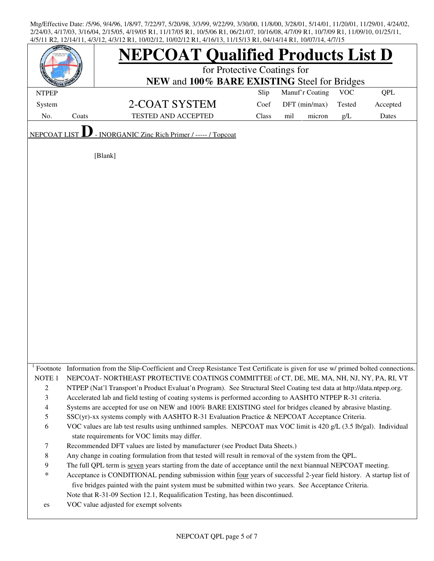|                                  |       | <b>NEPCOAT Qualified Products List D</b>                                                                                                                                                                                            |       |                 |        |            |          |  |  |
|----------------------------------|-------|-------------------------------------------------------------------------------------------------------------------------------------------------------------------------------------------------------------------------------------|-------|-----------------|--------|------------|----------|--|--|
|                                  |       | for Protective Coatings for<br>NEW and 100% BARE EXISTING Steel for Bridges                                                                                                                                                         |       |                 |        |            |          |  |  |
| <b>NTPEP</b>                     |       |                                                                                                                                                                                                                                     | Slip  | Manuf'r Coating |        | <b>VOC</b> | QPL      |  |  |
| System                           |       | 2-COAT SYSTEM                                                                                                                                                                                                                       | Coef  | DFT (min/max)   |        | Tested     | Accepted |  |  |
| No.                              | Coats | TESTED AND ACCEPTED                                                                                                                                                                                                                 | Class | mil             | micron | g/L        | Dates    |  |  |
| NEPCOAT LIST                     |       | - INORGANIC Zinc Rich Primer / ----- / Topcoat                                                                                                                                                                                      |       |                 |        |            |          |  |  |
| [Blank]                          |       |                                                                                                                                                                                                                                     |       |                 |        |            |          |  |  |
|                                  |       |                                                                                                                                                                                                                                     |       |                 |        |            |          |  |  |
|                                  |       |                                                                                                                                                                                                                                     |       |                 |        |            |          |  |  |
|                                  |       |                                                                                                                                                                                                                                     |       |                 |        |            |          |  |  |
|                                  |       |                                                                                                                                                                                                                                     |       |                 |        |            |          |  |  |
|                                  |       |                                                                                                                                                                                                                                     |       |                 |        |            |          |  |  |
|                                  |       |                                                                                                                                                                                                                                     |       |                 |        |            |          |  |  |
|                                  |       |                                                                                                                                                                                                                                     |       |                 |        |            |          |  |  |
|                                  |       |                                                                                                                                                                                                                                     |       |                 |        |            |          |  |  |
|                                  |       |                                                                                                                                                                                                                                     |       |                 |        |            |          |  |  |
|                                  |       |                                                                                                                                                                                                                                     |       |                 |        |            |          |  |  |
|                                  |       |                                                                                                                                                                                                                                     |       |                 |        |            |          |  |  |
|                                  |       |                                                                                                                                                                                                                                     |       |                 |        |            |          |  |  |
|                                  |       |                                                                                                                                                                                                                                     |       |                 |        |            |          |  |  |
|                                  |       |                                                                                                                                                                                                                                     |       |                 |        |            |          |  |  |
|                                  |       |                                                                                                                                                                                                                                     |       |                 |        |            |          |  |  |
|                                  |       |                                                                                                                                                                                                                                     |       |                 |        |            |          |  |  |
|                                  |       |                                                                                                                                                                                                                                     |       |                 |        |            |          |  |  |
|                                  |       |                                                                                                                                                                                                                                     |       |                 |        |            |          |  |  |
|                                  |       |                                                                                                                                                                                                                                     |       |                 |        |            |          |  |  |
|                                  |       | Footnote Information from the Slip-Coefficient and Creep Resistance Test Certificate is given for use w/ primed bolted connections.                                                                                                 |       |                 |        |            |          |  |  |
| NOTE <sub>1</sub>                |       | NEPCOAT-NORTHEAST PROTECTIVE COATINGS COMMITTEE of CT, DE, ME, MA, NH, NJ, NY, PA, RI, VT                                                                                                                                           |       |                 |        |            |          |  |  |
| $\overline{2}$<br>$\mathfrak{Z}$ |       | NTPEP (Nat'l Transport'n Product Evaluat'n Program). See Structural Steel Coating test data at http://data.ntpep.org.<br>Accelerated lab and field testing of coating systems is performed according to AASHTO NTPEP R-31 criteria. |       |                 |        |            |          |  |  |
| $\overline{4}$                   |       | Systems are accepted for use on NEW and 100% BARE EXISTING steel for bridges cleaned by abrasive blasting.                                                                                                                          |       |                 |        |            |          |  |  |
| $\sqrt{5}$                       |       | SSC(yr)-xx systems comply with AASHTO R-31 Evaluation Practice & NEPCOAT Acceptance Criteria.                                                                                                                                       |       |                 |        |            |          |  |  |
| 6                                |       | VOC values are lab test results using unthinned samples. NEPCOAT max VOC limit is 420 g/L (3.5 lb/gal). Individual                                                                                                                  |       |                 |        |            |          |  |  |
|                                  |       | state requirements for VOC limits may differ.                                                                                                                                                                                       |       |                 |        |            |          |  |  |
| $\tau$                           |       | Recommended DFT values are listed by manufacturer (see Product Data Sheets.)                                                                                                                                                        |       |                 |        |            |          |  |  |
| $\, 8$                           |       | Any change in coating formulation from that tested will result in removal of the system from the QPL.                                                                                                                               |       |                 |        |            |          |  |  |
| $\overline{9}$                   |       | The full QPL term is seven years starting from the date of acceptance until the next biannual NEPCOAT meeting.                                                                                                                      |       |                 |        |            |          |  |  |
| $\ast$                           |       | Acceptance is CONDITIONAL pending submission within four years of successful 2-year field history. A startup list of<br>five bridges painted with the paint system must be submitted within two years. See Acceptance Criteria.     |       |                 |        |            |          |  |  |
|                                  |       | Note that R-31-09 Section 12.1, Requalification Testing, has been discontinued.                                                                                                                                                     |       |                 |        |            |          |  |  |
| es                               |       | VOC value adjusted for exempt solvents                                                                                                                                                                                              |       |                 |        |            |          |  |  |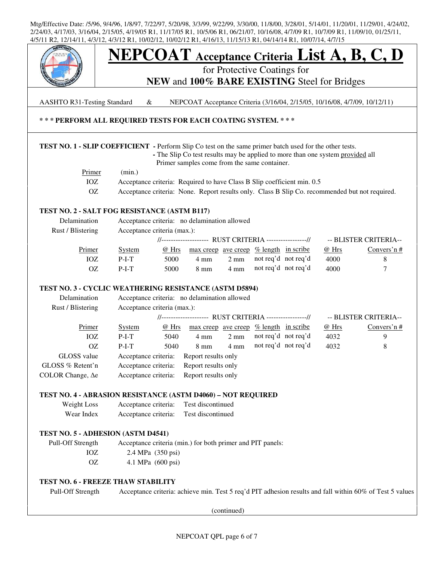